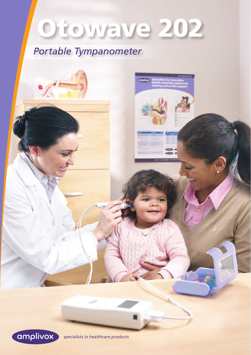# Otowave 202

# Portable Tympanometer



specialists in healthcare products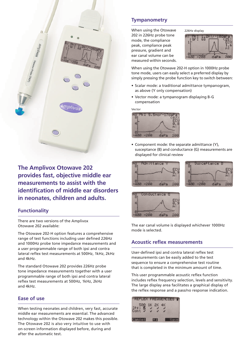

**The Amplivox Otowave 202 provides fast, objective middle ear measurements to assist with the identification of middle ear disorders in neonates, children and adults.**

## **Functionality**

There are two versions of the Amplivox Otowave 202 available:

The Otowave 202-H option features a comprehensive range of test functions including user defined 226Hz and 1000Hz probe tone impedance measurements and a user programmable range of both ipsi and contra lateral reflex test measurements at 500Hz, 1kHz, 2kHz and 4kHz.

The standard Otowave 202 provides 226Hz probe tone impedance measurements together with a user programmable range of both ipsi and contra lateral reflex test measurements at 500Hz, 1kHz, 2kHz and 4kHz.

### **Ease of use**

When testing neonates and children, very fast, accurate middle ear measurements are essential. The advanced technology within the Otowave 202 makes this possible. The Otowave 202 is also very intuitive to use with on-screen information displayed before, during and after the automatic test.

# **Tympanometry**

When using the Otowave 202 in 226Hz probe tone mode, the compliance peak, compliance peak pressure, gradient and ear canal volume can be measured within seconds.

226Hz display

When using the Otowave 202-H option in 1000Hz probe tone mode, users can easily select a preferred display by simply pressing the probe function key to switch between:

- Scalar mode: a traditional admittance tympanogram, as above (Y only compensation)
- Vector mode: a tympanogram displaying B-G compensation

Vector



• Component mode: the separate admittance (Y), susceptance (B) and conductance (G) measurements are displayed for clinical review







The ear canal volume is displayed whichever 1000Hz mode is selected.

# **Acoustic reflex measurements**

User-defined ipsi and contra lateral reflex test measurements can be easily added to the test sequence to ensure a comprehensive test routine that is completed in the minimum amount of time.

This user programmable acoustic reflex function includes reflex frequency selection, levels and sensitivity. The large display area facilitates a graphical display of the reflex response and a pass/no response indication.

| REFLEX FREQUENCIES T              |      |       |
|-----------------------------------|------|-------|
| 500 1K 2K 4K<br>IPsi <sup>E</sup> |      |       |
| Cancel                            | $+1$ | Savel |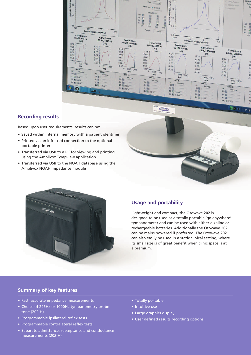

#### **Recording results**

Based upon user requirements, results can be:

- Saved within internal memory with a patient identifier
- Printed via an infra-red connection to the optional portable printer
- Transferred via USB to a PC for viewing and printing using the Amplivox Tympview application
- Transferred via USB to the NOAH database using the Amplivox NOAH Impedance module





#### **Usage and portability**

Lightweight and compact, the Otowave 202 is designed to be used as a totally portable 'go anywhere' tympanometer and can be used with either alkaline or rechargeable batteries. Additionally the Otowave 202 can be mains powered if preferred. The Otowave 202 can also easily be used in a static clinical setting, where its small size is of great benefit when clinic space is at a premium.

#### **Summary of key features**

- Fast, accurate impedance measurements
- Choice of 226Hz or 1000Hz tympanometry probe tone (202-H)
- Programmable ipsilateral reflex tests
- Programmable contralateral reflex tests
- Separate admittance, susceptance and conductance measurements (202-H)
- Totally portable
- Intuitive use
- Large graphics display
- User defined results recording options